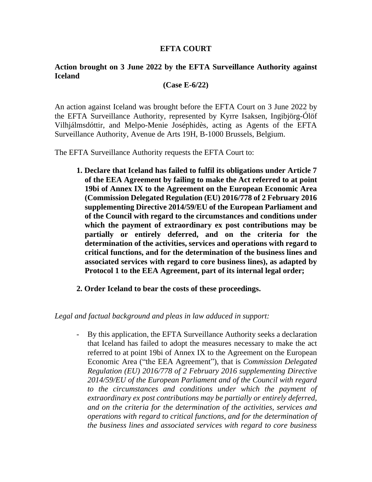## **EFTA COURT**

## **Action brought on 3 June 2022 by the EFTA Surveillance Authority against Iceland**

## **(Case E-6/22)**

An action against Iceland was brought before the EFTA Court on 3 June 2022 by the EFTA Surveillance Authority, represented by Kyrre Isaksen, Ingibjörg-Ólöf Vilhjálmsdóttir, and Melpo-Menie Joséphidès, acting as Agents of the EFTA Surveillance Authority, Avenue de Arts 19H, B-1000 Brussels, Belgium.

The EFTA Surveillance Authority requests the EFTA Court to:

- **1. Declare that Iceland has failed to fulfil its obligations under Article 7 of the EEA Agreement by failing to make the Act referred to at point 19bi of Annex IX to the Agreement on the European Economic Area (Commission Delegated Regulation (EU) 2016/778 of 2 February 2016 supplementing Directive 2014/59/EU of the European Parliament and of the Council with regard to the circumstances and conditions under which the payment of extraordinary ex post contributions may be partially or entirely deferred, and on the criteria for the determination of the activities, services and operations with regard to critical functions, and for the determination of the business lines and associated services with regard to core business lines), as adapted by Protocol 1 to the EEA Agreement, part of its internal legal order;**
- **2. Order Iceland to bear the costs of these proceedings.**

## *Legal and factual background and pleas in law adduced in support:*

- By this application, the EFTA Surveillance Authority seeks a declaration that Iceland has failed to adopt the measures necessary to make the act referred to at point 19bi of Annex IX to the Agreement on the European Economic Area ("the EEA Agreement"), that is *Commission Delegated Regulation (EU) 2016/778 of 2 February 2016 supplementing Directive 2014/59/EU of the European Parliament and of the Council with regard to the circumstances and conditions under which the payment of extraordinary ex post contributions may be partially or entirely deferred, and on the criteria for the determination of the activities, services and operations with regard to critical functions, and for the determination of the business lines and associated services with regard to core business*